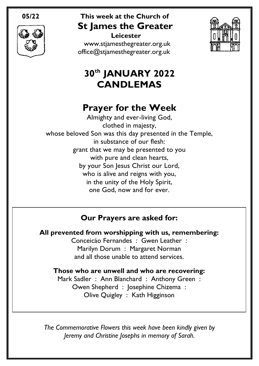

# **05/22 This week at the Church of St James the Greater**

 **Leicester** [www.stjamesthegreater.org.uk](http://www.stjamesthegreater.org.uk/) [office@stjamesthegreater.org.uk](mailto:office@stjamesthegreater.org.uk)



# **30th JANUARY 2022 CANDLEMAS**

# **Prayer for the Week**

Almighty and ever-living God, clothed in majesty, whose beloved Son was this day presented in the Temple, in substance of our flesh: grant that we may be presented to you with pure and clean hearts, by your Son Jesus Christ our Lord, who is alive and reigns with you, in the unity of the Holy Spirit, one God, now and for ever.

## **Our Prayers are asked for:**

**All prevented from worshipping with us, remembering:** Conceicáo Fernandes : Gwen Leather : Marilyn Dorum : Margaret Norman

and all those unable to attend services.

**Those who are unwell and who are recovering:** Mark Sadler : Ann Blanchard : Anthony Green : Owen Shepherd : Josephine Chizema : Olive Quigley : Kath Higginson

*The Commemorative Flowers this week have been kindly given by Jeremy and Christine Josephs in memory of Sarah.*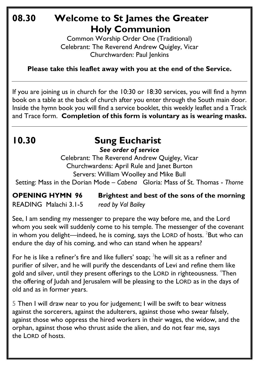## **08.30 Welcome to St James the Greater Holy Communion**

Common Worship Order One (Traditional) Celebrant: The Reverend Andrew Quigley, Vicar Churchwarden: Paul Jenkins

**Please take this leaflet away with you at the end of the Service.**

If you are joining us in church for the 10:30 or 18:30 services, you will find a hymn book on a table at the back of church after you enter through the South main door. Inside the hymn book you will find a service booklet, this weekly leaflet and a Track and Trace form. **Completion of this form is voluntary as is wearing masks.** 

# **10.30 Sung Eucharist**

*See order of service*

Celebrant: The Reverend Andrew Quigley, Vicar Churchwardens: April Rule and Janet Burton Servers: William Woolley and Mike Bull

Setting: Mass in the Dorian Mode – *Cabena* Gloria: Mass of St. Thomas - *Thorne*

#### **OPENING HYMN 96 Brightest and best of the sons of the morning** READING Malachi 3.1-5 *read by Val Bailey*

See, I am sending my messenger to prepare the way before me, and the Lord whom you seek will suddenly come to his temple. The messenger of the covenant in whom you delight—indeed, he is coming, says the LORD of hosts.  ${}^{2}$ But who can endure the day of his coming, and who can stand when he appears?

For he is like a refiner's fire and like fullers' soap;  $3$ he will sit as a refiner and purifier of silver, and he will purify the descendants of Levi and refine them like gold and silver, until they present offerings to the LORD in righteousness. <sup>4</sup>Then the offering of Judah and Jerusalem will be pleasing to the LORD as in the days of old and as in former years.

5 Then I will draw near to you for judgement; I will be swift to bear witness against the sorcerers, against the adulterers, against those who swear falsely, against those who oppress the hired workers in their wages, the widow, and the orphan, against those who thrust aside the alien, and do not fear me, says the LORD of hosts.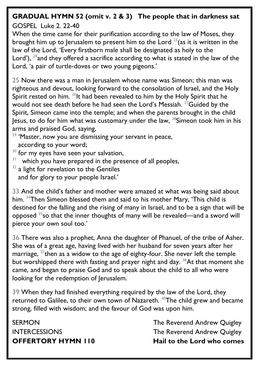## **GRADUAL HYMN 52 (omit v. 2 & 3) The people that in darkness sat**

GOSPEL Luke 2. 22-40

When the time came for their purification according to the law of Moses, they brought him up to Jerusalem to present him to the Lord  $23$  (as it is written in the law of the Lord, 'Every firstborn male shall be designated as holy to the Lord'),  $24$  and they offered a sacrifice according to what is stated in the law of the Lord, 'a pair of turtle-doves or two young pigeons.'

25 Now there was a man in Jerusalem whose name was Simeon; this man was righteous and devout, looking forward to the consolation of Israel, and the Holy Spirit rested on him.  $^{26}$ It had been revealed to him by the Holy Spirit that he would not see death before he had seen the Lord's Messiah. <sup>27</sup>Guided by the Spirit, Simeon came into the temple; and when the parents brought in the child Jesus, to do for him what was customary under the law,  $^{28}$ Simeon took him in his arms and praised God, saying,

- $29$  'Master, now you are dismissing your servant in peace, according to your word;
- <sup>30</sup> for my eyes have seen your salvation,
- 31 which you have prepared in the presence of all peoples,
- $32$  a light for revelation to the Gentiles and for glory to your people Israel.'

33 And the child's father and mother were amazed at what was being said about him. <sup>34</sup>Then Simeon blessed them and said to his mother Mary, 'This child is destined for the falling and the rising of many in Israel, and to be a sign that will be opposed <sup>35</sup>so that the inner thoughts of many will be revealed—and a sword will pierce your own soul too.'

36 There was also a prophet, Anna the daughter of Phanuel, of the tribe of Asher. She was of a great age, having lived with her husband for seven years after her marriage,  $37$  then as a widow to the age of eighty-four. She never left the temple but worshipped there with fasting and prayer night and day. <sup>38</sup>At that moment she came, and began to praise God and to speak about the child to all who were looking for the redemption of Jerusalem.

39 When they had finished everything required by the law of the Lord, they returned to Galilee, to their own town of Nazareth. <sup>40</sup>The child grew and became strong, filled with wisdom; and the favour of God was upon him.

SERMON GERMON SERMON SERMON INTERCESSIONS The Reverend Andrew Quigley **OFFERTORY HYMN 110 Hail to the Lord who comes**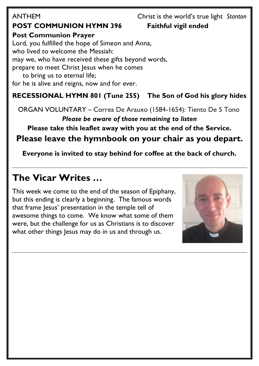## ANTHEMChrist is the world's true light *Stanton* **POST COMMUNION HYMN 396 Faithful vigil ended**

**Post Communion Prayer**  Lord, you fulfilled the hope of Simeon and Anna, who lived to welcome the Messiah: may we, who have received these gifts beyond words, prepare to meet Christ Jesus when he comes to bring us to eternal life; for he is alive and reigns, now and for ever.

## **RECESSIONAL HYMN 801 (Tune 255) The Son of God his glory hides**

ORGAN VOLUNTARY – Correa De Arauxo (1584-1654): Tiento De 5 Tono

*Please be aware of those remaining to listen*

## **Please take this leaflet away with you at the end of the Service. Please leave the hymnbook on your chair as you depart.**

**Everyone is invited to stay behind for coffee at the back of church.**

# **The Vicar Writes …**

This week we come to the end of the season of Epiphany, but this ending is clearly a beginning. The famous words that frame Jesus' presentation in the temple tell of awesome things to come. We know what some of them were, but the challenge for us as Christians is to discover what other things Jesus may do in us and through us.

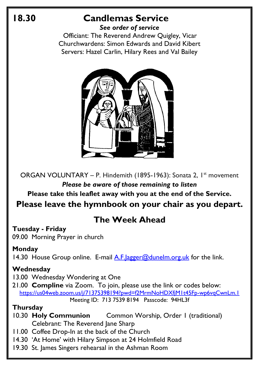## **18.30 Candlemas Service**

*See order of service* Officiant: The Reverend Andrew Quigley, Vicar Churchwardens: Simon Edwards and David Kibert Servers: Hazel Carlin, Hilary Rees and Val Bailey



ORGAN VOLUNTARY – P. Hindemith (1895-1963): Sonata 2, 1<sup>st</sup> movement *Please be aware of those remaining to listen*

**Please take this leaflet away with you at the end of the Service. Please leave the hymnbook on your chair as you depart.**

## **The Week Ahead**

**Tuesday - Friday**

09.00 Morning Prayer in church

## **Monday**

14.30 House Group online. E-mail  $\overline{A}$ . F. |agger@dunelm.org.uk for the link.

## **Wednesday**

13.00 Wednesday Wondering at One

21.00 **Compline** via Zoom. To join, please use the link or codes below: <https://us04web.zoom.us/j/71375398194?pwd=f2MrmNoHDXfjM1t45Fp-wp6vqCwnLm.1> Meeting ID: 713 7539 8194 Passcode: 94HL3f

## **Thursday**

- 10.30 **Holy Communion** Common Worship, Order 1 (traditional) Celebrant: The Reverend Jane Sharp
- 11.00 Coffee Drop-In at the back of the Church
- 14.30 'At Home' with Hilary Simpson at 24 Holmfield Road
- 19.30 St. James Singers rehearsal in the Ashman Room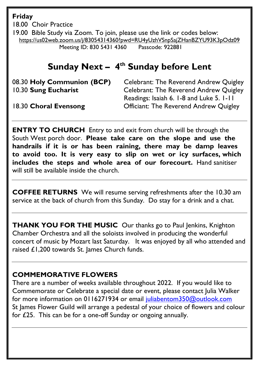**Friday** 

18.00 Choir Practice

19.00 Bible Study via Zoom. To join, please use the link or codes below: <https://us02web.zoom.us/j/83054314360?pwd=RU4yUzhVSnpSajZHanBZYU93K3pOdz09> Meeting ID: 830 5431 4360 Passcode: 922881

# **Sunday Next – 4 th Sunday before Lent**

08.30 **Holy Communion (BCP)** Celebrant: The Reverend Andrew Quigley 10.30 **Sung Eucharist** Celebrant: The Reverend Andrew Quigley Readings: Isaiah 6. 1-8 and Luke 5. 1-11 18.30 **Choral Evensong** Officiant: The Reverend Andrew Quigley

**ENTRY TO CHURCH** Entry to and exit from church will be through the South West porch door. **Please take care on the slope and use the handrails if it is or has been raining, there may be damp leaves to avoid too. It is very easy to slip on wet or icy surfaces, which includes the steps and whole area of our forecourt.** Hand sanitiser will still be available inside the church.

**COFFEE RETURNS** We will resume serving refreshments after the 10.30 am service at the back of church from this Sunday. Do stay for a drink and a chat.

**THANK YOU FOR THE MUSIC** Our thanks go to Paul Jenkins, Knighton Chamber Orchestra and all the soloists involved in producing the wonderful concert of music by Mozart last Saturday. It was enjoyed by all who attended and raised £1,200 towards St. James Church funds.

## **COMMEMORATIVE FLOWERS**

There are a number of weeks available throughout 2022. If you would like to Commemorate or Celebrate a special date or event, please contact Julia Walker for more information on 0116271934 or email [juliabentom350@outlook.com](mailto:juliabentom350@outlook.com) St James Flower Guild will arrange a pedestal of your choice of flowers and colour for £25. This can be for a one-off Sunday or ongoing annually.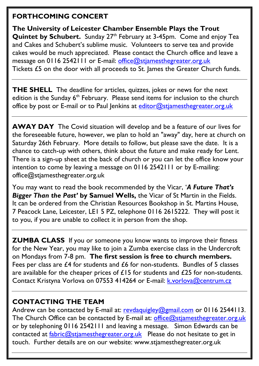## **FORTHCOMING CONCERT**

**The University of Leicester Chamber Ensemble Plays the Trout Quintet by Schubert.** Sunday 27<sup>th</sup> February at 3-45pm. Come and enjoy Tea and Cakes and Schubert's sublime music. Volunteers to serve tea and provide cakes would be much appreciated. Please contact the Church office and leave a message on 0116 2542111 or E-mail: [office@stjamesthegreater.org.uk](mailto:office@stjamesthegreater.org.uk) Tickets £5 on the door with all proceeds to St. James the Greater Church funds.

**THE SHELL** The deadline for articles, quizzes, jokes or news for the next edition is the Sunday  $6<sup>th</sup>$  February. Please send items for inclusion to the church office by post or E-mail or to Paul Jenkins at [editor@stjamesthegreater.org.uk](mailto:editor@stjamesthegreater.org.uk)

**AWAY DAY** The Covid situation will develop and be a feature of our lives for the foreseeable future, however, we plan to hold an "away" day, here at church on Saturday 26th February. More details to follow, but please save the date. It is a chance to catch-up with others, think about the future and make ready for Lent. There is a sign-up sheet at the back of church or you can let the office know your intention to come by leaving a message on 0116 2542111 or by E-mailing: office@stjamesthegreater.org.uk

You may want to read the book recommended by the Vicar, '*A Future That's Bigger Than the Past'* **by Samuel Wells,** the Vicar of St Martin in the Fields. It can be ordered from the Christian Resources Bookshop in St. Martins House, 7 Peacock Lane, Leicester, LE1 5 PZ, telephone 0116 2615222. They will post it to you, if you are unable to collect it in person from the shop.

**ZUMBA CLASS** If you or someone you know wants to improve their fitness for the New Year, you may like to join a Zumba exercise class in the Undercroft on Mondays from 7-8 pm. **The first session is free to church members.**  Fees per class are £4 for students and £6 for non-students. Bundles of 5 classes are available for the cheaper prices of £15 for students and £25 for non-students. Contact Kristyna Vorlova on 07553 414264 or E-mail: **k.vorlova@centrum.cz** 

### **CONTACTING THE TEAM**

Andrew can be contacted by E-mail at: [revdaquigley@gmail.com](mailto:revdaquigley@gmail.com) or 0116 2544113. The Church Office can be contacted by E-mail at: [office@stjamesthegreater.org.uk](mailto:office@stjamesthegreater.org.uk) or by telephoning 0116 2542111 and leaving a message. Simon Edwards can be contacted at  $fabric@stiamesthegreater.org.uk$  Please do not hesitate to get in touch. Further details are on our website: www.stjamesthegreater.org.uk